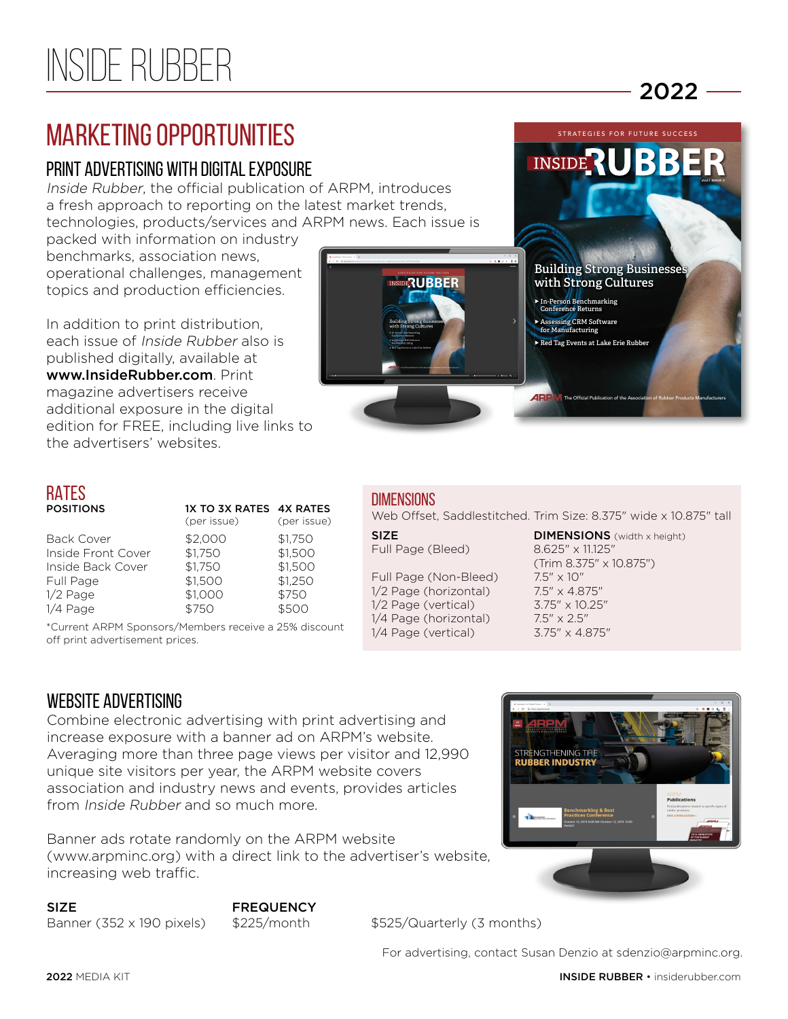# MARKETING OPPORTUNITIES<br>
STRATEGIES FOR FUTURE SUCCESS EN ENGLISHED STRATEGIES FOR FUTURE SUCCESS PORTUNITIES<br>
STRATEGIES FOR FUTURE SUCCESS MARKETING WITH DIGITAL EXPOSURE

### PRINT ADVERTISING WITH DIGITAL EXPOSURE

Inside Rubber, the official publication of ARPM, introduces a fresh approach to reporting on the latest market trends, technologies, products/services and ARPM news. Each issue is

packed with information on industry benchmarks, association news, operational challenges, management topics and production efficiencies.

In addition to print distribution, each issue of Inside Rubber also is published digitally, available at www.InsideRubber.com. Print magazine advertisers receive additional exposure in the digital edition for FREE, including live links to the advertisers' websites.

## RATES

| <b>POSITIONS</b>   | 1X TO 3X RATES 4X RATES<br>(per issue) | (per issue) |
|--------------------|----------------------------------------|-------------|
| <b>Back Cover</b>  | \$2.000                                | \$1,750     |
| Inside Front Cover | \$1,750                                | \$1,500     |
| Inside Back Cover  | \$1,750                                | \$1,500     |
| Full Page          | \$1,500                                | \$1,250     |
| 1/2 Page           | \$1,000                                | \$750       |
| 1/4 Page           | \$750                                  | \$500       |
|                    |                                        |             |

\*Current ARPM Sponsors/Members receive a 25% discount off print advertisement prices.

## **ARE** The Official Publication of the Association of Rubber Products Manufacturers **DIMENSIONS**

Web Offset, Saddlestitched. Trim Size: 8.375" wide x 10.875" tall

Full Page (Non-Bleed) 7.5" x 10" 1/2 Page (horizontal) 7.5" x 4.875" 1/2 Page (vertical) 3.75" x 10.25" 1/4 Page (horizontal) 7.5" x 2.5" 1/4 Page (vertical) 3.75" x 4.875"

**RUBBER** 

### WEBSITE ADVERTISING

Combine electronic advertising with print advertising and increase exposure with a banner ad on ARPM's website. Averaging more than three page views per visitor and 12,990 unique site visitors per year, the ARPM website covers association and industry news and events, provides articles from Inside Rubber and so much more.

Banner ads rotate randomly on the ARPM website (www.arpminc.org) with a direct link to the advertiser's website, increasing web traffic.



SIZE FREQUENCY

Banner (352 x 190 pixels)  $$225/m$ onth  $$525/Q$ uarterly (3 months)

For advertising, contact Susan Denzio at sdenzio@arpminc.org.

STRENGTHENING THE<br>RUBBER INDUSTRY



**Building Strong Businesse with Strong Cultures**

2021 Issue 3

 $2022 -$ 

 **In-Person Benchmarking Conference Returns Assessing CRM Software for Manufacturing Red Tag Events at Lake Erie Rubber**

**INSID**